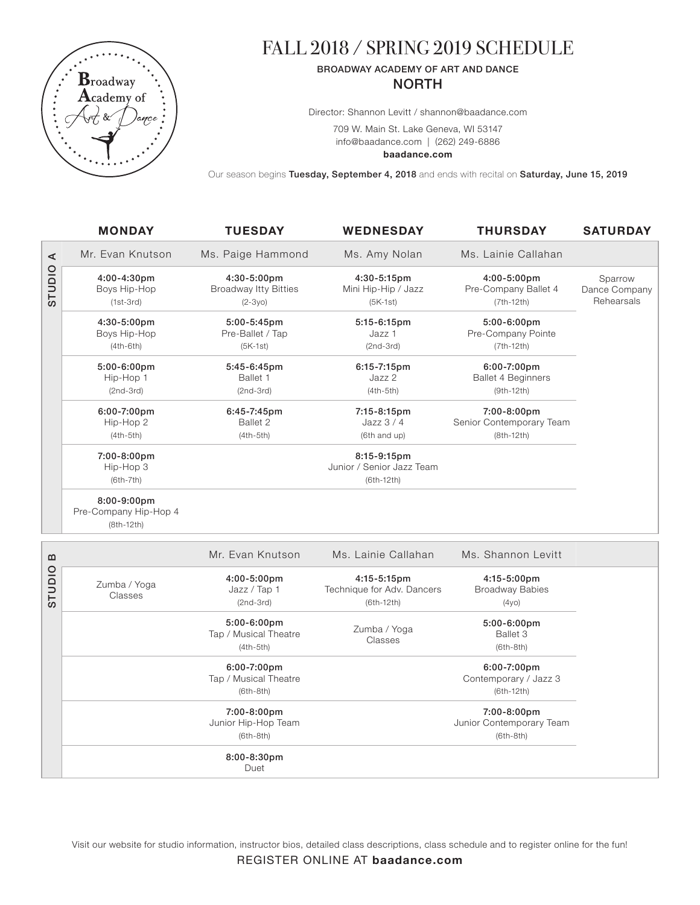

# FALL 2018 / SPRING 2019 SCHEDULE

## BROADWAY ACADEMY OF ART AND DANCE NORTH

Director: Shannon Levitt / shannon@baadance.com

709 W. Main St. Lake Geneva, WI 53147 info@baadance.com | (262) 249-6886

**baadance.com**

Our season begins Tuesday, September 4, 2018 and ends with recital on Saturday, June 15, 2019

|        | <b>MONDAY</b>                              | <b>TUESDAY</b>                                          | <b>WEDNESDAY</b>                                            | <b>THURSDAY</b>                                          | <b>SATURDAY</b>                        |
|--------|--------------------------------------------|---------------------------------------------------------|-------------------------------------------------------------|----------------------------------------------------------|----------------------------------------|
| ⋖      | Mr. Evan Knutson                           | Ms. Paige Hammond                                       | Ms. Amy Nolan                                               | Ms. Lainie Callahan                                      |                                        |
| OIDIDS | 4:00-4:30pm<br>Boys Hip-Hop<br>$(1st-3rd)$ | 4:30-5:00pm<br><b>Broadway Itty Bitties</b><br>$(2-3y)$ | 4:30-5:15pm<br>Mini Hip-Hip / Jazz<br>$(5K-1st)$            | 4:00-5:00pm<br>Pre-Company Ballet 4<br>$(7th-12th)$      | Sparrow<br>Dance Company<br>Rehearsals |
|        | 4:30-5:00pm<br>Boys Hip-Hop<br>$(4th-6th)$ | 5:00-5:45pm<br>Pre-Ballet / Tap<br>$(5K-1st)$           | 5:15-6:15pm<br>Jazz 1<br>$(2nd-3rd)$                        | 5:00-6:00pm<br>Pre-Company Pointe<br>$(7th-12th)$        |                                        |
|        | $5:00-6:00$ pm<br>Hip-Hop 1<br>$(2nd-3rd)$ | 5:45-6:45pm<br>Ballet 1<br>$(2nd-3rd)$                  | 6:15-7:15pm<br>Jazz 2<br>$(4th-5th)$                        | 6:00-7:00pm<br><b>Ballet 4 Beginners</b><br>$(9th-12th)$ |                                        |
|        | 6:00-7:00pm<br>Hip-Hop 2<br>$(4th-5th)$    | 6:45-7:45pm<br>Ballet 2<br>$(4th-5th)$                  | 7:15-8:15pm<br>Jazz $3/4$<br>(6th and up)                   | 7:00-8:00pm<br>Senior Contemporary Team<br>$(8th-12th)$  |                                        |
|        | 7:00-8:00pm<br>Hip-Hop 3<br>$(6th-7th)$    |                                                         | $8:15-9:15$ pm<br>Junior / Senior Jazz Team<br>$(6th-12th)$ |                                                          |                                        |
|        | $8:00-9:00$ pm<br>Pre-Company Hip-Hop 4    |                                                         |                                                             |                                                          |                                        |

(8th-12th)

| $\mathbf{u}$ |                         | Mr. Evan Knutson                                       | Ms. Lainie Callahan                                            | Ms. Shannon Levitt                                        |  |
|--------------|-------------------------|--------------------------------------------------------|----------------------------------------------------------------|-----------------------------------------------------------|--|
| <b>OIDID</b> | Zumba / Yoga<br>Classes | 4:00-5:00pm<br>Jazz / Tap 1<br>$(2nd-3rd)$             | $4:15 - 5:15$ pm<br>Technique for Adv. Dancers<br>$(6th-12th)$ | $4:15 - 5:00$ pm<br><b>Broadway Babies</b><br>(4y0)       |  |
|              |                         | $5:00-6:00$ pm<br>Tap / Musical Theatre<br>$(4th-5th)$ | Zumba / Yoga<br>Classes                                        | $5:00-6:00$ pm<br>Ballet 3<br>$(6th-8th)$                 |  |
|              |                         | 6:00-7:00pm<br>Tap / Musical Theatre<br>$(6th-8th)$    |                                                                | $6:00 - 7:00$ pm<br>Contemporary / Jazz 3<br>$(6th-12th)$ |  |
|              |                         | 7:00-8:00pm<br>Junior Hip-Hop Team<br>$(6th-8th)$      |                                                                | 7:00-8:00pm<br>Junior Contemporary Team<br>$(6th-8th)$    |  |
|              |                         | $8:00 - 8:30$ pm<br>Duet                               |                                                                |                                                           |  |

Visit our website for studio information, instructor bios, detailed class descriptions, class schedule and to register online for the fun!